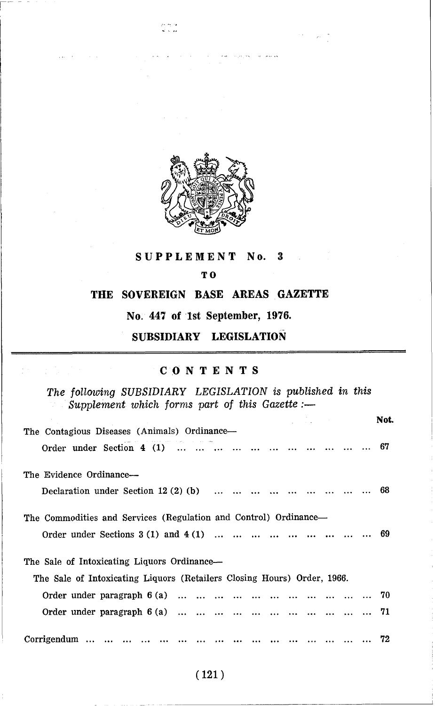

..... - . .,

# **SUPPLEMENT No. 3**

### **TO**

# **THE SOVEREIGN BASE AREAS GAZETTE**

**No. 447 of 1st September, 1976.** 

**SUBSIDIARY LEGISLATION** 

## **CONTENTS**

*The following SUBSIDIARY LEGISLATION is published in this Supplement which forms part of this Gazette* :-

|                                                                            | and the process of | Not. |
|----------------------------------------------------------------------------|--------------------|------|
| The Contagious Diseases (Animals) Ordinance—<br>Order under Section $4(1)$ |                    | 67   |
| The Evidence Ordinance-                                                    |                    |      |
| Declaration under Section 12 $(2)$ (b)                                     |                    | 68   |
| The Commodities and Services (Regulation and Control) Ordinance—           |                    | 69   |
| The Sale of Intoxicating Liquors Ordinance—                                |                    |      |
| The Sale of Intoxicating Liquors (Retailers Closing Hours) Order, 1966.    |                    |      |
|                                                                            |                    |      |
| Order under paragraph $6(a)$                                               |                    | - 71 |
| Corrigendum                                                                |                    |      |

 $(121)$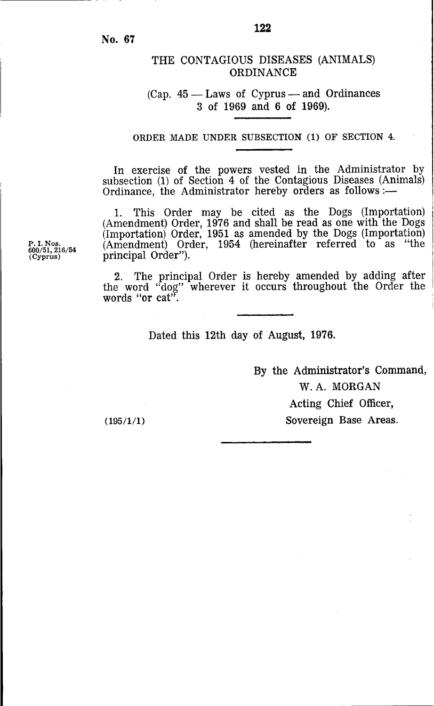**No. 67** 

# THE CONTAGIOUS DISEASES (ANIMALS) **ORDINANCE**

### $(CaD. 45 - Laws of Cyprus - and Ordinances)$ **3** of 1969 and 6 of 1969).

ORDER MADE UNDER SUBSECTION (1) OF SECTION **4.** 

In exercise of the powers vested in the Administrator by subsection **(1)** of Section 4 of the Contagious Diseases (Animals) Ordinance, the Administrator hereby orders as follows :-

1. This Order may be cited as the Dogs (Importation) (Amendment) Order, 1976 and shall be read as one with the Dogs (Importation) Order, 1951 as amended by the Dogs (Importation) (Amendment) Order, 1954 (hereinafter referred to as "the principal Order").

**2.** The principal Order is hereby amended by adding after the word "dog" wherever it occurs throughout the Order the words "or cat"

Dated this 12th day of August, 1976.

By the Administrator's Command, W.A. MORGAN Acting Chief Officer, Sovereign Base Areas.

 $(195/1/1)$ 

**P. I. Nos.**<br>600/51, 216/54<br>(Cyprus)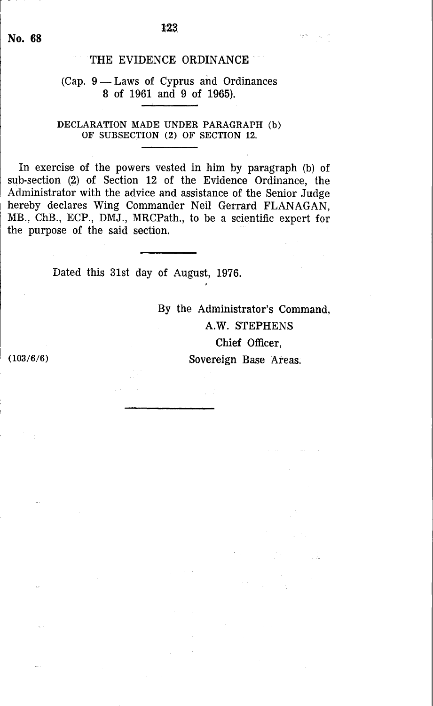# THE EVIDENCE ORDINANCE

# (Cap.  $9$  — Laws of Cyprus and Ordinances **8** of 1961 and 9 of 1965).

#### **DECLARATION MADE UNDER PARAGRAPH (b)**  OF **SUBSECTION (2)** OF **SECTION 12.**

In exercise of the powers vested in him by paragraph (b) of sub-section (2) of Section 12 of the Evidence Ordinance, the Administrator with the advice and assistance **of** the Senior Judge hereby declares Wing Commander Neil Gerrard FLANAGAN, MB., ChB., ECP., DMJ., MRCPath., to be a scientific expert for the purpose of the said section.

Dated this 31st day **of** August, 1976.

**By** the Administrator's Command, **A.W.** STEPHENS Chief Officer, **(103/6/6)** Sovereign Base Areas.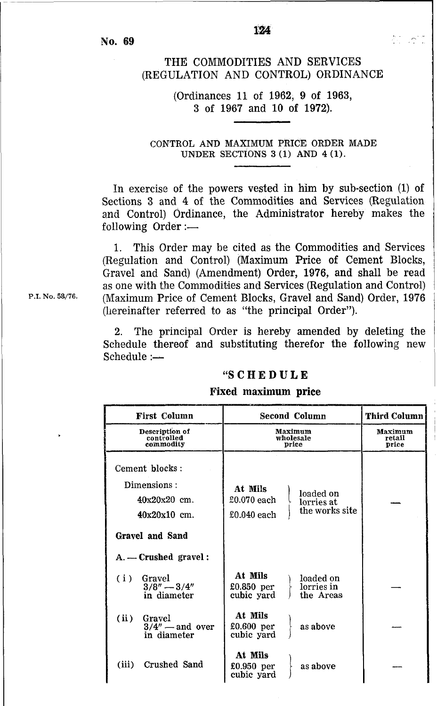**No. 69** 

# THE COMMODITIES **AND** SERVICES (REGULATION AND CONTROL) ORDINANCE

## (Ordinances **11** of **1962, 9** of **1963, 3** of **1967** and 10 of **1972).**

**CONTROL AND MAXIMUM PRICE ORDER MADE UNDER SECTIONS 3 (1) AND 4 (1).** 

In exercise of the powers vested in him by sub-section (1) of Sections 3 and 4 of the Commodities and Services (Regulation and Control) Ordinance, the Administrator hereby makes the following Order:-

This Order may be cited as the Commodities and Services 1. (Regulation and Control) (Maximum Price of Cement Blocks, Gravel and Sand) (Amendment) Order, 1976, and shall be read as one with the Commodities and Services (Regulation and Control) (Maximum Price of Cement Blocks, Gravel and Sand) Order, 1976 (hereinafter referred to as "the principal Order").

**2.** The principal Order is hereby amended by deleting the 2. The principal Order is hereby antended by deteting the<br>Schedule thereof and substituting therefor the following new<br>Schedule :--<br>"S C H E D U L E<br>Fixed maximum price<br>First Column Second Column Third Column

### *"S* **C H E D U L E**

#### **Fixed maximum price**

| <b>First Column</b>                                                                  | <b>Second Column</b>                                                               | <b>Third Column</b>        |
|--------------------------------------------------------------------------------------|------------------------------------------------------------------------------------|----------------------------|
| Description of<br>controlled<br>commodity                                            | Maximum<br>wholesale<br>price                                                      | Maximum<br>retail<br>price |
| Cement blocks:<br>Dimensions:<br>$40x20x20$ cm.<br>$40x20x10$ cm.<br>Gravel and Sand | At Mils<br>loaded on<br>£0.070 each<br>lorries at<br>the works site<br>£0.040 each |                            |
| $A. -$ Crushed gravel:                                                               |                                                                                    |                            |
| (i)<br>Gravel<br>$3/8'' - 3/4''$<br>in diameter                                      | At Mils<br>loaded on<br>£0.850 per<br>lorries in<br>cubic yard<br>the Areas        |                            |
| (ii)<br>Gravel<br>$3/4''$ — and over<br>in diameter                                  | At Mils<br>as above<br>£0.600~per<br>cubic yard                                    |                            |
| Crushed Sand<br>(iii)                                                                | At Mils<br>$£0.950$ per<br>as above<br>cubic yard                                  |                            |

P.I. No. 58/76.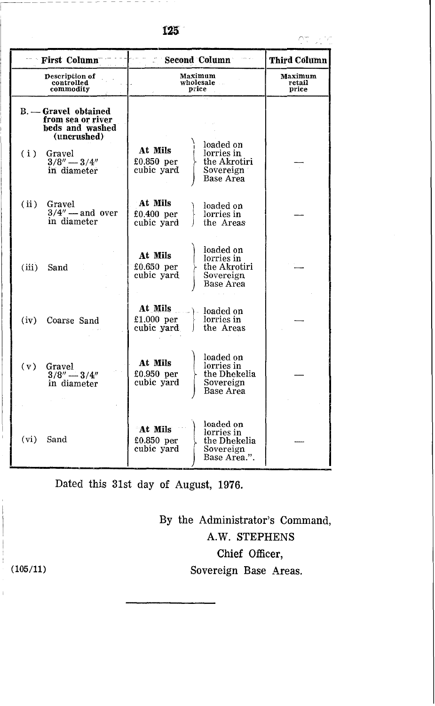|  | ٧ |  |
|--|---|--|

| • First Column |                                                                             | Second Column                                                    | Third Column                              |
|----------------|-----------------------------------------------------------------------------|------------------------------------------------------------------|-------------------------------------------|
|                | <b>Description of</b><br>controlled<br>commodity                            | Maximum<br>wholesale<br>price                                    | Maximum<br>retail<br>price                |
|                | B. - Gravel obtained<br>from sea or river<br>beds and washed<br>(uncrushed) |                                                                  |                                           |
| (i)            | Gravel<br>$3/8'' - 3/4''$<br>in diameter                                    | loaded on<br>At Mils<br>lorries in<br>£0.850 per<br>cubic yard   | the Akrotiri<br>Sovereign<br>Base Area    |
| (ii)           | Gravel<br>$3/4''$ — and over<br>in diameter                                 | At Mils<br>loaded on<br>£0.400 per<br>lorries in<br>cubic yard   | the Areas                                 |
| (iii)          | Sand                                                                        | loaded on<br>At Mils<br>lorries in<br>£0.650 per<br>cubic yard   | the Akrotiri<br>Sovereign<br>Base Area    |
| (iv)           | Coarse Sand                                                                 | At Mils<br>loaded on<br>£1.000 per<br>lorries in<br>cubic yard   | the Areas                                 |
| (v)            | Gravel<br>$3/8'' - 3/4''$<br>in diameter                                    | loaded on<br>At Mils<br>lorries in<br>£0.950 per<br>cubic yard   | the Dhekelia<br>Sovereign<br>Base Area    |
| (vi)           | Sand                                                                        | loaded on<br>At Mils<br>lorries in<br>$£0.850$ per<br>cubic yard | the Dhekelia<br>Sovereign<br>Base Area.". |

Dated this 31st day of August, 1976.

By the Administrator's Command, **A.W.** STEPHENS Chief Officer, Sovereign Base Areas.

**(105/11)**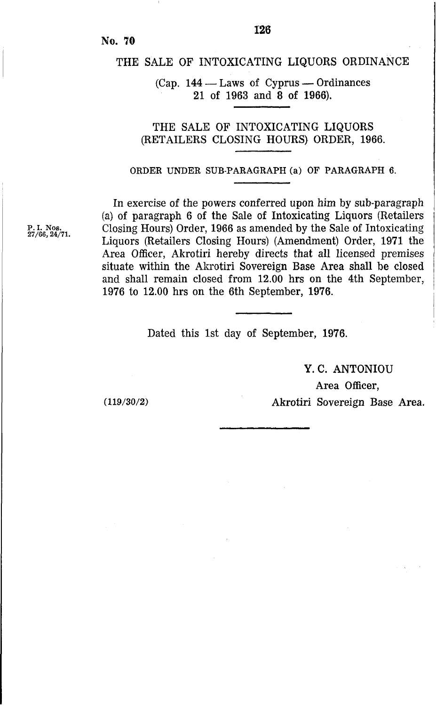# THE SALE **OF** INTOXICATING LIQUORS ORDINANCE

# $(Cap. 144 - Laws of Cyprus - Ordinances)$ 21 of 1963 and **8** of 1966).

# THE SALE OF INTOXICATING LIQUORS (RETAILERS CLOSING HOURS) ORDER, 1966.

#### **ORDER UNDER SUB-PARAGRAPH (a) OF PARAGRAPH 6.**

In exercise of the powers conferred upon him by sub-paragraph (a) of paragraph 6 of the Sale of Intoxicating Liquors (Retailers Closing Hours) Order, 1966 as amended by the Sale of Intoxicating Liquors (Retailers Closing Hours) (Amendment) Order, 1971 the Area Officer, Akrotiri hereby directs that all licensed premises situate within the Akrotiri Sovereign Base Area shall be closed and shall remain closed from 12.00 hrs on the 4th September, 1976 to 12.00 hrs on the 6th September, 1976.

Dated this 1st day of September, 1976.

Y. **C.** ANTONIOU

Area Officer, Akrotiri Sovereign Base Area.

**P.I. Nos. 27/66,24/71.** 

**(119/30/2)**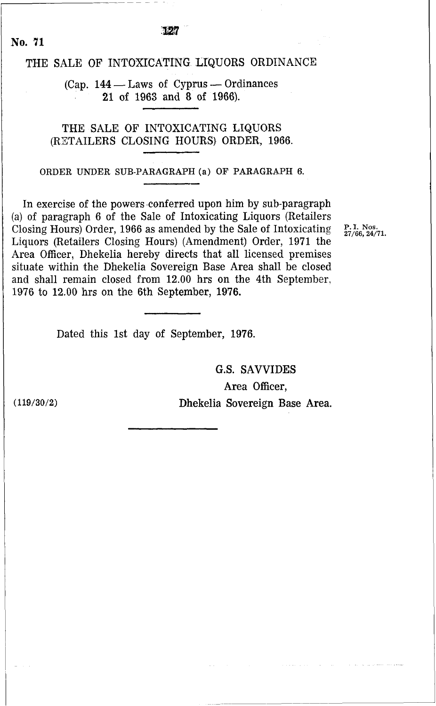THE SALE OF INTOXICATING LIQUORS ORDINANCE<br>
(Cap. 144 – Laws of Cyprus – Ordinances)<br>
21 of 1963 and 8 of 1968 **21** of **1963** and **8** of **1966).** 

THE SALE OF INTOXICATING LIQUORS (RETAILERS CLOSING HOURS) ORDER, **1966.** 

**ORDER UNDER SUB-PARAGRAPH (a) OF PARAGRAPH 6.** 

In exercise of the powers conferred upon him by sub-paragraph (a) of paragraph **6** of the Sale of Intoxicating Liquors (Retailers Closing Hours) Order, **1966** as amended by the Sale of Intoxicating Liquors (Retailers Closing Hours) (Amendment) Order, **1971** the Area Officer, Dhekelia hereby directs that all licensed premises situate within the Dhekelia Sovereign Base Area shall be closed and shall remain closed from **12.00** hrs on the 4th September, **1976** to **12.00** hrs on the 6th September, **1976.** 

**P. I. Nos. 27/66,24/71.** 

Dated this 1st day of September, **1976.** 

G.S. SAVVIDES Area Officer, Dhekelia Sovereign Base Area.

**(119/30/2)** 

**No. 71**